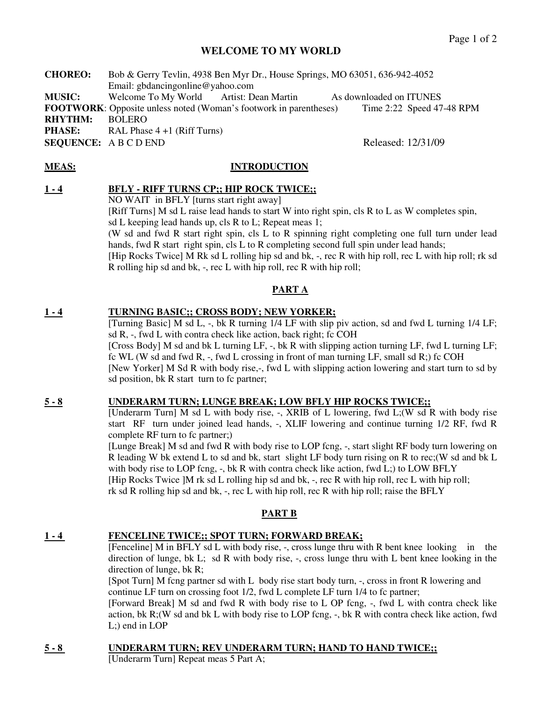# **WELCOME TO MY WORLD**

**CHOREO:** Bob & Gerry Tevlin, 4938 Ben Myr Dr., House Springs, MO 63051, 636-942-4052 Email: gbdancingonline@yahoo.com **MUSIC:** Welcome To My World Artist: Dean Martin As downloaded on ITUNES **FOOTWORK:** Opposite unless noted (Woman's footwork in parentheses) Time 2:22 Speed 47-48 RPM **RHYTHM:** BOLERO **PHASE:** RAL Phase 4 +1 (Riff Turns) **SEQUENCE:** A B C D END Released: 12/31/09

#### **MEAS: INTRODUCTION**

#### **1 - 4 BFLY - RIFF TURNS CP;; HIP ROCK TWICE;;**

NO WAIT in BFLY [turns start right away]

 [Riff Turns] M sd L raise lead hands to start W into right spin, cls R to L as W completes spin, sd L keeping lead hands up, cls R to L; Repeat meas 1;

(W sd and fwd R start right spin, cls L to R spinning right completing one full turn under lead hands, fwd R start right spin, cls L to R completing second full spin under lead hands;

[Hip Rocks Twice] M Rk sd L rolling hip sd and bk, -, rec R with hip roll, rec L with hip roll; rk sd R rolling hip sd and bk, -, rec L with hip roll, rec R with hip roll;

# **PART A**

# **1 - 4 TURNING BASIC;; CROSS BODY; NEW YORKER;**

[Turning Basic] M sd L, -, bk R turning 1/4 LF with slip piv action, sd and fwd L turning 1/4 LF; sd R, -, fwd L with contra check like action, back right; fc COH

[Cross Body] M sd and bk L turning LF,  $-$ , bk R with slipping action turning LF, fwd L turning LF; fc WL (W sd and fwd R, -, fwd L crossing in front of man turning LF, small sd R;) fc COH

 [New Yorker] M Sd R with body rise,-, fwd L with slipping action lowering and start turn to sd by sd position, bk R start turn to fc partner;

# **5 - 8 UNDERARM TURN; LUNGE BREAK; LOW BFLY HIP ROCKS TWICE;;**

[Underarm Turn] M sd L with body rise, -, XRIB of L lowering, fwd L;(W sd R with body rise start RF turn under joined lead hands, -, XLIF lowering and continue turning 1/2 RF, fwd R complete RF turn to fc partner;)

[Lunge Break] M sd and fwd R with body rise to LOP fcng,  $\overline{\ }$ , start slight RF body turn lowering on R leading W bk extend L to sd and bk, start slight LF body turn rising on R to rec;(W sd and bk L with body rise to LOP fcng,  $-$ , bk R with contra check like action, fwd L;) to LOW BFLY [Hip Rocks Twice ]M rk sd L rolling hip sd and bk, -, rec R with hip roll, rec L with hip roll; rk sd R rolling hip sd and bk, -, rec L with hip roll, rec R with hip roll; raise the BFLY

# **PART B**

# **1 - 4 FENCELINE TWICE;; SPOT TURN; FORWARD BREAK;**

[Fenceline] M in BFLY sd L with body rise, -, cross lunge thru with R bent knee looking in the direction of lunge, bk L; sd R with body rise, -, cross lunge thru with L bent knee looking in the direction of lunge, bk R;

 [Spot Turn] M fcng partner sd with L body rise start body turn, -, cross in front R lowering and continue LF turn on crossing foot 1/2, fwd L complete LF turn 1/4 to fc partner;

[Forward Break] M sd and fwd R with body rise to L OP fcng, -, fwd L with contra check like action, bk R;(W sd and bk L with body rise to LOP fcng,  $-$ , bk R with contra check like action, fwd L;) end in LOP

#### **5 - 8 UNDERARM TURN; REV UNDERARM TURN; HAND TO HAND TWICE;;**

[Underarm Turn] Repeat meas 5 Part A;